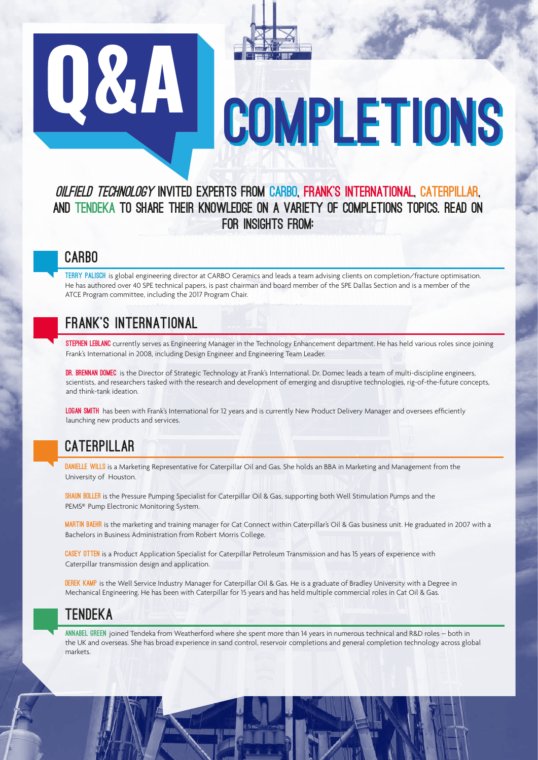# Q&A COMPLETIONS

# Oilfield Technology invited experts from CARBO, FRANK's INTERNATIONAL, CATERPILLAR, and TENDEKA to share their knowledge on a variety of COMPLETIONS topics. Read on for insights from:

# cARBO

TERRY PALISCH is global engineering director at CARBO Ceramics and leads a team advising clients on completion/fracture optimisation. He has authored over 40 SPE technical papers, is past chairman and board member of the SPE Dallas Section and is a member of the ATCE Program committee, including the 2017 Program Chair.

# FRANK'S INTERNATIONAL

STEPHEN LEBLANC currently serves as Engineering Manager in the Technology Enhancement department. He has held various roles since joining Frank's International in 2008, including Design Engineer and Engineering Team Leader.

DR. BRENNAN DOMEC is the Director of Strategic Technology at Frank's International. Dr. Domec leads a team of multi-discipline engineers, scientists, and researchers tasked with the research and development of emerging and disruptive technologies, rig-of-the-future concepts, and think-tank ideation.

LOGAN SMITH has been with Frank's International for 12 years and is currently New Product Delivery Manager and oversees efficiently launching new products and services.

# **CATERPILLAR**

DANIELLE WILLS is a Marketing Representative for Caterpillar Oil and Gas. She holds an BBA in Marketing and Management from the University of Houston.

SHAUN BOLLER is the Pressure Pumping Specialist for Caterpillar Oil & Gas, supporting both Well Stimulation Pumps and the PEMS® Pump Electronic Monitoring System.

MARTIN BAEHR is the marketing and training manager for Cat Connect within Caterpillar's Oil & Gas business unit. He graduated in 2007 with a Bachelors in Business Administration from Robert Morris College.

CASEY OTTEN is a Product Application Specialist for Caterpillar Petroleum Transmission and has 15 years of experience with Caterpillar transmission design and application.

DEREK KAMP is the Well Service Industry Manager for Caterpillar Oil & Gas. He is a graduate of Bradley University with a Degree in Mechanical Engineering. He has been with Caterpillar for 15 years and has held multiple commercial roles in Cat Oil & Gas.

# **TENDEKA**

ANNABEL GREEN joined Tendeka from Weatherford where she spent more than 14 years in numerous technical and R&D roles – both in the UK and overseas. She has broad experience in sand control, reservoir completions and general completion technology across global markets.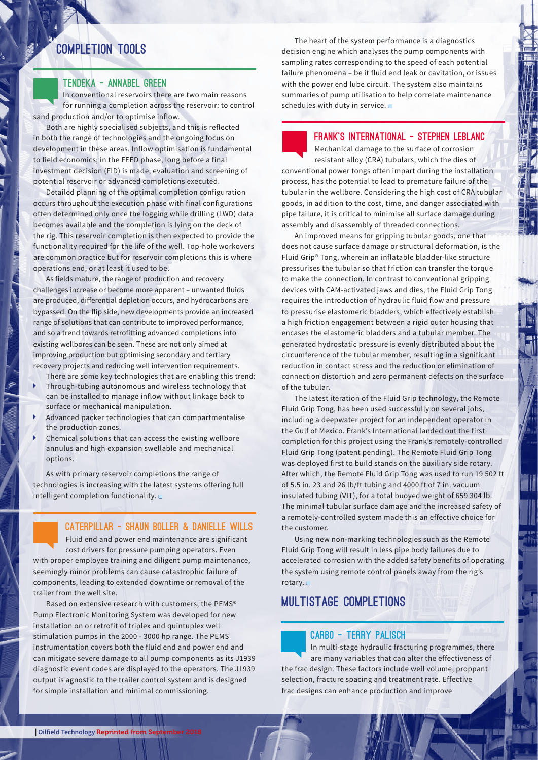# COMPLETION TOOLS

#### TENDEKA - Annabel Green

In conventional reservoirs there are two main reasons for running a completion across the reservoir: to control sand production and/or to optimise inflow.

Both are highly specialised subjects, and this is reflected in both the range of technologies and the ongoing focus on development in these areas. Inflow optimisation is fundamental to field economics; in the FEED phase, long before a final investment decision (FID) is made, evaluation and screening of potential reservoir or advanced completions executed.

Detailed planning of the optimal completion configuration occurs throughout the execution phase with final configurations often determined only once the logging while drilling (LWD) data becomes available and the completion is lying on the deck of the rig. This reservoir completion is then expected to provide the functionality required for the life of the well. Top-hole workovers are common practice but for reservoir completions this is where operations end, or at least it used to be.

As fields mature, the range of production and recovery challenges increase or become more apparent – unwanted fluids are produced, differential depletion occurs, and hydrocarbons are bypassed. On the flip side, new developments provide an increased range of solutions that can contribute to improved performance, and so a trend towards retrofitting advanced completions into existing wellbores can be seen. These are not only aimed at improving production but optimising secondary and tertiary recovery projects and reducing well intervention requirements.

There are some key technologies that are enabling this trend:

- Through-tubing autonomous and wireless technology that can be installed to manage inflow without linkage back to surface or mechanical manipulation.
- Advanced packer technologies that can compartmentalise the production zones.
- Chemical solutions that can access the existing wellbore annulus and high expansion swellable and mechanical options.

As with primary reservoir completions the range of technologies is increasing with the latest systems offering full intelligent completion functionality.

CATERPILLAR - Shaun Boller & Danielle Wills Fluid end and power end maintenance are significant cost drivers for pressure pumping operators. Even with proper employee training and diligent pump maintenance,

seemingly minor problems can cause catastrophic failure of components, leading to extended downtime or removal of the trailer from the well site.

Based on extensive research with customers, the PEMS® Pump Electronic Monitoring System was developed for new installation on or retrofit of triplex and quintuplex well stimulation pumps in the 2000 - 3000 hp range. The PEMS instrumentation covers both the fluid end and power end and can mitigate severe damage to all pump components as its J1939 diagnostic event codes are displayed to the operators. The J1939 output is agnostic to the trailer control system and is designed for simple installation and minimal commissioning.

The heart of the system performance is a diagnostics decision engine which analyses the pump components with sampling rates corresponding to the speed of each potential failure phenomena – be it fluid end leak or cavitation, or issues with the power end lube circuit. The system also maintains summaries of pump utilisation to help correlate maintenance schedules with duty in service.

FRANK'S INTERNATIONAL - STEPHEN LEBLANC

Mechanical damage to the surface of corrosion resistant alloy (CRA) tubulars, which the dies of conventional power tongs often impart during the installation process, has the potential to lead to premature failure of the tubular in the wellbore. Considering the high cost of CRA tubular goods, in addition to the cost, time, and danger associated with pipe failure, it is critical to minimise all surface damage during assembly and disassembly of threaded connections.

An improved means for gripping tubular goods, one that does not cause surface damage or structural deformation, is the Fluid Grip® Tong, wherein an inflatable bladder-like structure pressurises the tubular so that friction can transfer the torque to make the connection. In contrast to conventional gripping devices with CAM-activated jaws and dies, the Fluid Grip Tong requires the introduction of hydraulic fluid flow and pressure to pressurise elastomeric bladders, which effectively establish a high friction engagement between a rigid outer housing that encases the elastomeric bladders and a tubular member. The generated hydrostatic pressure is evenly distributed about the circumference of the tubular member, resulting in a significant reduction in contact stress and the reduction or elimination of connection distortion and zero permanent defects on the surface of the tubular.

The latest iteration of the Fluid Grip technology, the Remote Fluid Grip Tong, has been used successfully on several jobs, including a deepwater project for an independent operator in the Gulf of Mexico. Frank's International landed out the first completion for this project using the Frank's remotely-controlled Fluid Grip Tong (patent pending). The Remote Fluid Grip Tong was deployed first to build stands on the auxiliary side rotary. After which, the Remote Fluid Grip Tong was used to run 19 502 ft of 5.5 in. 23 and 26 lb/ft tubing and 4000 ft of 7 in. vacuum insulated tubing (VIT), for a total buoyed weight of 659 304 lb. The minimal tubular surface damage and the increased safety of a remotely-controlled system made this an effective choice for the customer.

Using new non-marking technologies such as the Remote Fluid Grip Tong will result in less pipe body failures due to accelerated corrosion with the added safety benefits of operating the system using remote control panels away from the rig's rotary.

# Multistage completions

#### CARBO - Terry Palisch

In multi-stage hydraulic fracturing programmes, there are many variables that can alter the effectiveness of the frac design. These factors include well volume, proppant selection, fracture spacing and treatment rate. Effective frac designs can enhance production and improve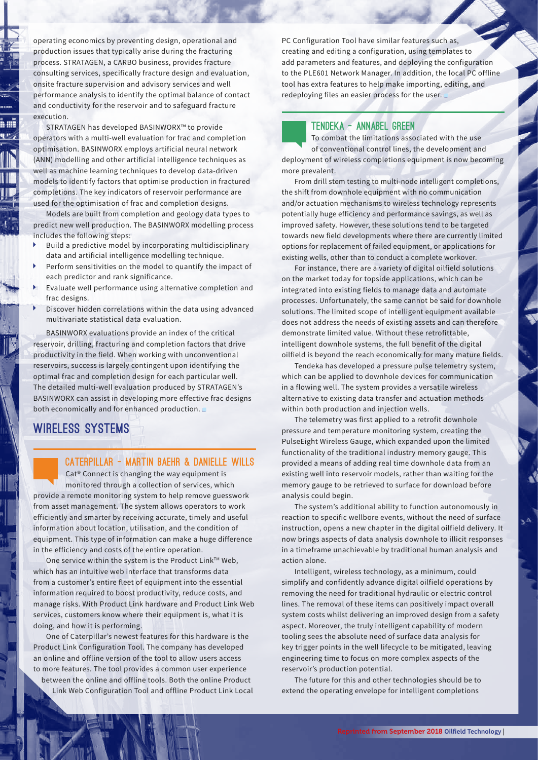operating economics by preventing design, operational and production issues that typically arise during the fracturing process. STRATAGEN, a CARBO business, provides fracture consulting services, specifically fracture design and evaluation, onsite fracture supervision and advisory services and well performance analysis to identify the optimal balance of contact and conductivity for the reservoir and to safeguard fracture execution.

STRATAGEN has developed BASINWORX™ to provide operators with a multi-well evaluation for frac and completion optimisation. BASINWORX employs artificial neural network (ANN) modelling and other artificial intelligence techniques as well as machine learning techniques to develop data-driven models to identify factors that optimise production in fractured completions. The key indicators of reservoir performance are used for the optimisation of frac and completion designs.

Models are built from completion and geology data types to predict new well production. The BASINWORX modelling process includes the following steps:

- Build a predictive model by incorporating multidisciplinary data and artificial intelligence modelling technique.
- Perform sensitivities on the model to quantify the impact of each predictor and rank significance.
- Evaluate well performance using alternative completion and frac designs.
- Discover hidden correlations within the data using advanced multivariate statistical data evaluation.

BASINWORX evaluations provide an index of the critical reservoir, drilling, fracturing and completion factors that drive productivity in the field. When working with unconventional reservoirs, success is largely contingent upon identifying the optimal frac and completion design for each particular well. The detailed multi-well evaluation produced by STRATAGEN's BASINWORX can assist in developing more effective frac designs both economically and for enhanced production.

# WIRELESS SYSTEMS

#### CATERPILLAR - Martin Baehr & Danielle Wills

Cat® Connect is changing the way equipment is monitored through a collection of services, which provide a remote monitoring system to help remove guesswork from asset management. The system allows operators to work efficiently and smarter by receiving accurate, timely and useful information about location, utilisation, and the condition of equipment. This type of information can make a huge difference in the efficiency and costs of the entire operation.

One service within the system is the Product Link™ Web, which has an intuitive web interface that transforms data from a customer's entire fleet of equipment into the essential information required to boost productivity, reduce costs, and manage risks. With Product Link hardware and Product Link Web services, customers know where their equipment is, what it is doing, and how it is performing.

One of Caterpillar's newest features for this hardware is the Product Link Configuration Tool. The company has developed an online and offline version of the tool to allow users access to more features. The tool provides a common user experience

between the online and offline tools. Both the online Product Link Web Configuration Tool and offline Product Link Local PC Configuration Tool have similar features such as, creating and editing a configuration, using templates to add parameters and features, and deploying the configuration to the PLE601 Network Manager. In addition, the local PC offline tool has extra features to help make importing, editing, and redeploying files an easier process for the user.

#### TENDEKA - Annabel Green

To combat the limitations associated with the use of conventional control lines, the development and deployment of wireless completions equipment is now becoming more prevalent.

From drill stem testing to multi-node intelligent completions, the shift from downhole equipment with no communication and/or actuation mechanisms to wireless technology represents potentially huge efficiency and performance savings, as well as improved safety. However, these solutions tend to be targeted towards new field developments where there are currently limited options for replacement of failed equipment, or applications for existing wells, other than to conduct a complete workover.

For instance, there are a variety of digital oilfield solutions on the market today for topside applications, which can be integrated into existing fields to manage data and automate processes. Unfortunately, the same cannot be said for downhole solutions. The limited scope of intelligent equipment available does not address the needs of existing assets and can therefore demonstrate limited value. Without these retrofittable, intelligent downhole systems, the full benefit of the digital oilfield is beyond the reach economically for many mature fields.

Tendeka has developed a pressure pulse telemetry system, which can be applied to downhole devices for communication in a flowing well. The system provides a versatile wireless alternative to existing data transfer and actuation methods within both production and injection wells.

The telemetry was first applied to a retrofit downhole pressure and temperature monitoring system, creating the PulseEight Wireless Gauge, which expanded upon the limited functionality of the traditional industry memory gauge. This provided a means of adding real time downhole data from an existing well into reservoir models, rather than waiting for the memory gauge to be retrieved to surface for download before analysis could begin.

The system's additional ability to function autonomously in reaction to specific wellbore events, without the need of surface instruction, opens a new chapter in the digital oilfield delivery. It now brings aspects of data analysis downhole to illicit responses in a timeframe unachievable by traditional human analysis and action alone.

Intelligent, wireless technology, as a minimum, could simplify and confidently advance digital oilfield operations by removing the need for traditional hydraulic or electric control lines. The removal of these items can positively impact overall system costs whilst delivering an improved design from a safety aspect. Moreover, the truly intelligent capability of modern tooling sees the absolute need of surface data analysis for key trigger points in the well lifecycle to be mitigated, leaving engineering time to focus on more complex aspects of the reservoir's production potential.

The future for this and other technologies should be to extend the operating envelope for intelligent completions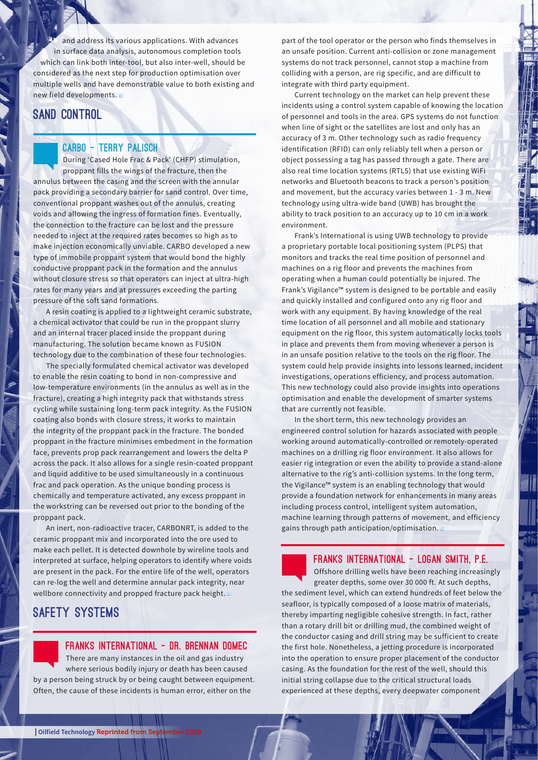and address its various applications. With advances in surface data analysis, autonomous completion tools which can link both inter-tool, but also inter-well, should be considered as the next step for production optimisation over multiple wells and have demonstrable value to both existing and new field developments.

### **SAND CONTROL**

#### CARBO - Terry Palisch

During 'Cased Hole Frac & Pack' (CHFP) stimulation, proppant fills the wings of the fracture, then the annulus between the casing and the screen with the annular pack providing a secondary barrier for sand control. Over time, conventional proppant washes out of the annulus, creating voids and allowing the ingress of formation fines. Eventually, the connection to the fracture can be lost and the pressure needed to inject at the required rates becomes so high as to make injection economically unviable. CARBO developed a new type of immobile proppant system that would bond the highly conductive proppant pack in the formation and the annulus without closure stress so that operators can inject at ultra-high rates for many years and at pressures exceeding the parting pressure of the soft sand formations.

A resin coating is applied to a lightweight ceramic substrate, a chemical activator that could be run in the proppant slurry and an internal tracer placed inside the proppant during manufacturing. The solution became known as FUSION technology due to the combination of these four technologies.

The specially formulated chemical activator was developed to enable the resin coating to bond in non-compressive and low-temperature environments (in the annulus as well as in the fracture), creating a high integrity pack that withstands stress cycling while sustaining long-term pack integrity. As the FUSION coating also bonds with closure stress, it works to maintain the integrity of the proppant pack in the fracture. The bonded proppant in the fracture minimises embedment in the formation face, prevents prop pack rearrangement and lowers the delta P across the pack. It also allows for a single resin-coated proppant and liquid additive to be used simultaneously in a continuous frac and pack operation. As the unique bonding process is chemically and temperature activated, any excess proppant in the workstring can be reversed out prior to the bonding of the proppant pack.

An inert, non-radioactive tracer, CARBONRT, is added to the ceramic proppant mix and incorporated into the ore used to make each pellet. It is detected downhole by wireline tools and interpreted at surface, helping operators to identify where voids are present in the pack. For the entire life of the well, operators can re-log the well and determine annular pack integrity, near wellbore connectivity and propped fracture pack height.

# Safety systems



part of the tool operator or the person who finds themselves in an unsafe position. Current anti-collision or zone management systems do not track personnel, cannot stop a machine from colliding with a person, are rig specific, and are difficult to integrate with third party equipment.

Current technology on the market can help prevent these incidents using a control system capable of knowing the location of personnel and tools in the area. GPS systems do not function when line of sight or the satellites are lost and only has an accuracy of 3 m. Other technology such as radio frequency identification (RFID) can only reliably tell when a person or object possessing a tag has passed through a gate. There are also real time location systems (RTLS) that use existing WiFi networks and Bluetooth beacons to track a person's position and movement, but the accuracy varies between 1 - 3 m. New technology using ultra-wide band (UWB) has brought the ability to track position to an accuracy up to 10 cm in a work environment.

Frank's International is using UWB technology to provide a proprietary portable local positioning system (PLPS) that monitors and tracks the real time position of personnel and machines on a rig floor and prevents the machines from operating when a human could potentially be injured. The Frank's Vigilance™ system is designed to be portable and easily and quickly installed and configured onto any rig floor and work with any equipment. By having knowledge of the real time location of all personnel and all mobile and stationary equipment on the rig floor, this system automatically locks tools in place and prevents them from moving whenever a person is in an unsafe position relative to the tools on the rig floor. The system could help provide insights into lessons learned, incident investigations, operations efficiency, and process automation. This new technology could also provide insights into operations optimisation and enable the development of smarter systems that are currently not feasible.

In the short term, this new technology provides an engineered control solution for hazards associated with people working around automatically-controlled or remotely-operated machines on a drilling rig floor environment. It also allows for easier rig integration or even the ability to provide a stand-alone alternative to the rig's anti-collision systems. In the long term, the Vigilance™ system is an enabling technology that would provide a foundation network for enhancements in many areas including process control, intelligent system automation, machine learning through patterns of movement, and efficiency gains through path anticipation/optimisation.

#### FRANKS INTERNATIONAL - Logan Smith, P.E.

Offshore drilling wells have been reaching increasingly greater depths, some over 30 000 ft. At such depths, the sediment level, which can extend hundreds of feet below the seafloor, is typically composed of a loose matrix of materials, thereby imparting negligible cohesive strength. In fact, rather than a rotary drill bit or drilling mud, the combined weight of the conductor casing and drill string may be sufficient to create the first hole. Nonetheless, a jetting procedure is incorporated into the operation to ensure proper placement of the conductor casing. As the foundation for the rest of the well, should this initial string collapse due to the critical structural loads experienced at these depths, every deepwater component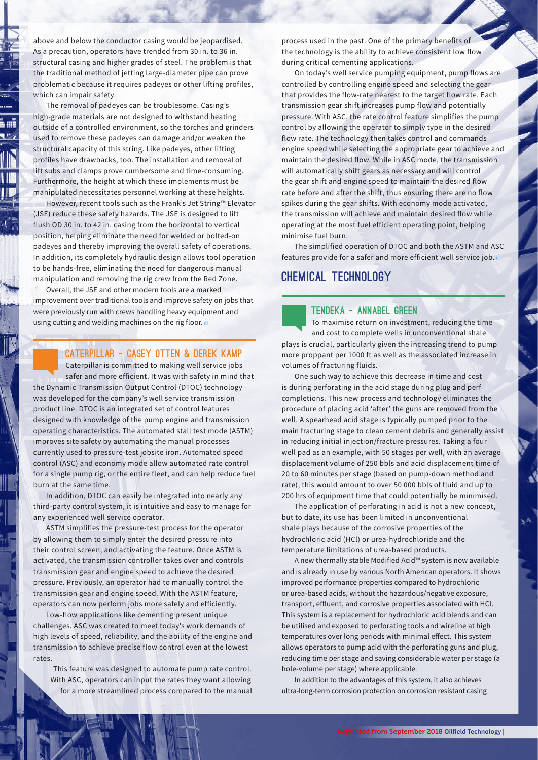above and below the conductor casing would be jeopardised. As a precaution, operators have trended from 30 in. to 36 in. structural casing and higher grades of steel. The problem is that the traditional method of jetting large-diameter pipe can prove problematic because it requires padeyes or other lifting profiles, which can impair safety.

The removal of padeyes can be troublesome. Casing's high-grade materials are not designed to withstand heating outside of a controlled environment, so the torches and grinders used to remove these padeyes can damage and/or weaken the structural capacity of this string. Like padeyes, other lifting profiles have drawbacks, too. The installation and removal of lift subs and clamps prove cumbersome and time-consuming. Furthermore, the height at which these implements must be manipulated necessitates personnel working at these heights.

However, recent tools such as the Frank's Jet String™ Elevator (JSE) reduce these safety hazards. The JSE is designed to lift flush OD 30 in. to 42 in. casing from the horizontal to vertical position, helping eliminate the need for welded or bolted-on padeyes and thereby improving the overall safety of operations. In addition, its completely hydraulic design allows tool operation to be hands-free, eliminating the need for dangerous manual manipulation and removing the rig crew from the Red Zone.

Overall, the JSE and other modern tools are a marked improvement over traditional tools and improve safety on jobs that were previously run with crews handling heavy equipment and using cutting and welding machines on the rig floor.

#### CATERPILLAR - Casey Otten & Derek Kamp

Caterpillar is committed to making well service jobs safer and more efficient. It was with safety in mind that the Dynamic Transmission Output Control (DTOC) technology was developed for the company's well service transmission product line. DTOC is an integrated set of control features designed with knowledge of the pump engine and transmission operating characteristics. The automated stall test mode (ASTM) improves site safety by automating the manual processes currently used to pressure-test jobsite iron. Automated speed control (ASC) and economy mode allow automated rate control for a single pump rig, or the entire fleet, and can help reduce fuel burn at the same time.

In addition, DTOC can easily be integrated into nearly any third-party control system, it is intuitive and easy to manage for any experienced well service operator.

ASTM simplifies the pressure-test process for the operator by allowing them to simply enter the desired pressure into their control screen, and activating the feature. Once ASTM is activated, the transmission controller takes over and controls transmission gear and engine speed to achieve the desired pressure. Previously, an operator had to manually control the transmission gear and engine speed. With the ASTM feature, operators can now perform jobs more safely and efficiently.

Low-flow applications like cementing present unique challenges. ASC was created to meet today's work demands of high levels of speed, reliability, and the ability of the engine and transmission to achieve precise flow control even at the lowest rates.

This feature was designed to automate pump rate control. With ASC, operators can input the rates they want allowing for a more streamlined process compared to the manual process used in the past. One of the primary benefits of the technology is the ability to achieve consistent low flow during critical cementing applications.

On today's well service pumping equipment, pump flows are controlled by controlling engine speed and selecting the gear that provides the flow-rate nearest to the target flow rate. Each transmission gear shift increases pump flow and potentially pressure. With ASC, the rate control feature simplifies the pump control by allowing the operator to simply type in the desired flow rate. The technology then takes control and commands engine speed while selecting the appropriate gear to achieve and maintain the desired flow. While in ASC mode, the transmission will automatically shift gears as necessary and will control the gear shift and engine speed to maintain the desired flow rate before and after the shift, thus ensuring there are no flow spikes during the gear shifts. With economy mode activated, the transmission will achieve and maintain desired flow while operating at the most fuel efficient operating point, helping minimise fuel burn.

The simplified operation of DTOC and both the ASTM and ASC features provide for a safer and more efficient well service job.

# Chemical technology

#### TENDEKA - Annabel Green

To maximise return on investment, reducing the time and cost to complete wells in unconventional shale plays is crucial, particularly given the increasing trend to pump more proppant per 1000 ft as well as the associated increase in volumes of fracturing fluids.

One such way to achieve this decrease in time and cost is during perforating in the acid stage during plug and perf completions. This new process and technology eliminates the procedure of placing acid 'after' the guns are removed from the well. A spearhead acid stage is typically pumped prior to the main fracturing stage to clean cement debris and generally assist in reducing initial injection/fracture pressures. Taking a four well pad as an example, with 50 stages per well, with an average displacement volume of 250 bbls and acid displacement time of 20 to 60 minutes per stage (based on pump-down method and rate), this would amount to over 50 000 bbls of fluid and up to 200 hrs of equipment time that could potentially be minimised.

The application of perforating in acid is not a new concept, but to date, its use has been limited in unconventional shale plays because of the corrosive properties of the hydrochloric acid (HCl) or urea-hydrochloride and the temperature limitations of urea-based products.

A new thermally stable Modified Acid™ system is now available and is already in use by various North American operators. It shows improved performance properties compared to hydrochloric or urea-based acids, without the hazardous/negative exposure, transport, effluent, and corrosive properties associated with HCl. This system is a replacement for hydrochloric acid blends and can be utilised and exposed to perforating tools and wireline at high temperatures over long periods with minimal effect. This system allows operators to pump acid with the perforating guns and plug, reducing time per stage and saving considerable water per stage (a hole-volume per stage) where applicable.

In addition to the advantages of this system, it also achieves ultra-long-term corrosion protection on corrosion resistant casing